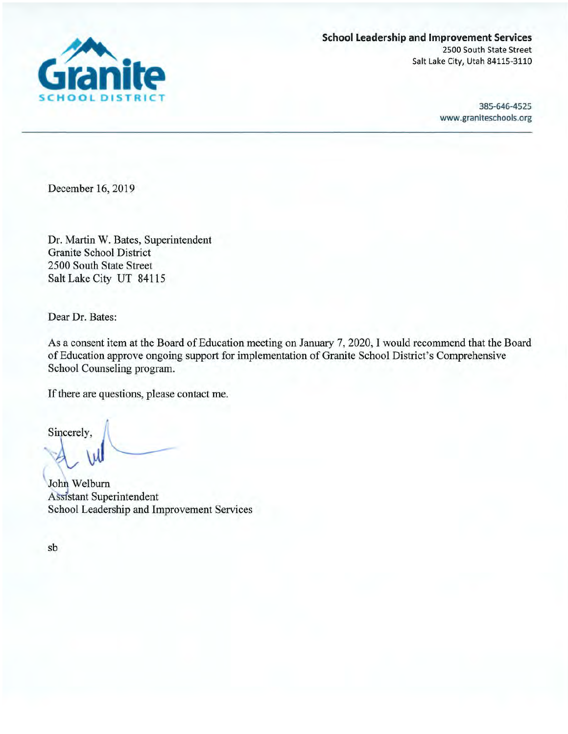

**School Leadership and Improvement Services** 2500 South State Street Salt Lake City, Utah 84115-3110

> 385-646-4525 www.graniteschools.org

December 16, 2019

Dr. Martin W. Bates, Superintendent **Granite School District** 2500 South State Street Salt Lake City UT 84115

Dear Dr. Bates:

As a consent item at the Board of Education meeting on January 7, 2020, I would recommend that the Board of Education approve ongoing support for implementation of Granite School District's Comprehensive School Counseling program.

If there are questions, please contact me.

Sincerely,

John Welburn **Assistant Superintendent** School Leadership and Improvement Services

sb